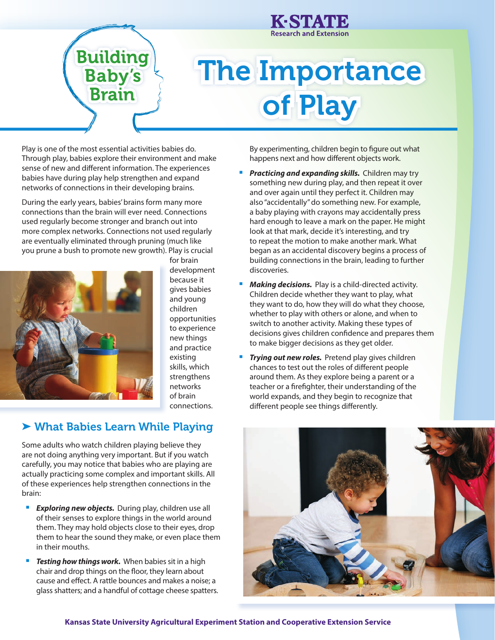

## The Importance of Play

Play is one of the most essential activities babies do. Through play, babies explore their environment and make sense of new and different information. The experiences babies have during play help strengthen and expand networks of connections in their developing brains.

**Building<br>Baby's<br>Brain** 

During the early years, babies' brains form many more connections than the brain will ever need. Connections used regularly become stronger and branch out into more complex networks. Connections not used regularly are eventually eliminated through pruning (much like you prune a bush to promote new growth). Play is crucial



for brain development because it gives babies and young children opportunities to experience new things and practice existing skills, which strengthens networks of brain connections.

## ▶ What Babies Learn While Playing

Some adults who watch children playing believe they are not doing anything very important. But if you watch carefully, you may notice that babies who are playing are actually practicing some complex and important skills. All of these experiences help strengthen connections in the brain:

- **Exploring new objects.** During play, children use all of their senses to explore things in the world around them. They may hold objects close to their eyes, drop them to hear the sound they make, or even place them in their mouths.
- **Testing how things work.** When babies sit in a high chair and drop things on the floor, they learn about cause and effect. A rattle bounces and makes a noise; a glass shatters; and a handful of cottage cheese spatters.

By experimenting, children begin to figure out what happens next and how different objects work.

- **Practicing and expanding skills.** Children may try something new during play, and then repeat it over and over again until they perfect it. Children may also "accidentally" do something new. For example, a baby playing with crayons may accidentally press hard enough to leave a mark on the paper. He might look at that mark, decide it's interesting, and try to repeat the motion to make another mark. What began as an accidental discovery begins a process of building connections in the brain, leading to further discoveries.
- **Making decisions.** Play is a child-directed activity. Children decide whether they want to play, what they want to do, how they will do what they choose, whether to play with others or alone, and when to switch to another activity. Making these types of decisions gives children confidence and prepares them to make bigger decisions as they get older.
- *Trying out new roles.* Pretend play gives children chances to test out the roles of different people around them. As they explore being a parent or a teacher or a firefighter, their understanding of the world expands, and they begin to recognize that different people see things differently.